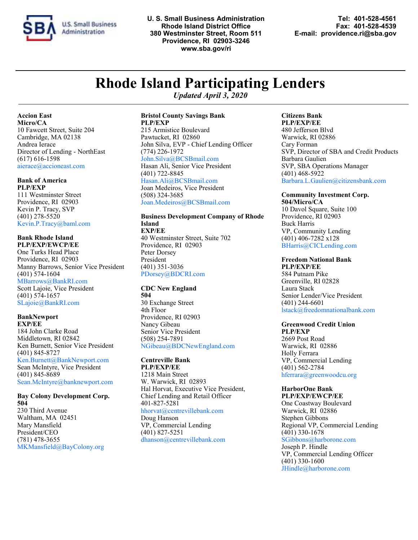

**U. S. Small Business Administration Tel: 401-528-4561 Rhode Island District Office Fax: 401-528-4539 380 Westminster Street, Room 511 Providence, RI 02903-3246 www.sba.gov/ri**

# **Rhode Island Participating Lenders**

*Updated April 3, 2020*

#### **Accion East Micro/CA**

10 Fawcett Street, Suite 204 Cambridge, MA 02138 Andrea Ierace Director of Lending - NorthEast (617) 616-1598 aierace@accioneast.com

# **Bank of America**

**PLP/EXP** 111 Westminster Street Providence, RI 02903 Kevin P. Tracy, SVP (401) 278-5520 Kevin.P.Tracy@baml.com

#### **Bank Rhode Island PLP/EXP/EWCP/EE**

One Turks Head Place Providence, RI 02903 Manny Barrows, Senior Vice President (401) 574-1604 MBarrows@BankRI.com Scott Lajoie, Vice President (401) 574-1657 SLajoie@BankRI.com

#### **BankNewport EXP/EE**

184 John Clarke Road Middletown, RI 02842 Ken Burnett, Senior Vice President (401) 845-8727 Ken.Burnett@BankNewport.com Sean McIntyre, Vice President (401) 845-8689 Sean.McIntyre@banknewport.com

## **Bay Colony Development Corp. 504** 230 Third Avenue

Waltham, MA 02451 Mary Mansfield President/CEO (781) 478-3655 MKMansfield@BayColony.org

### **Bristol County Savings Bank PLP/EXP**

215 Armistice Boulevard Pawtucket, RI 02860 John Silva, EVP - Chief Lending Officer (774) 226-1972 John.Silva@BCSBmail.com

Hasan Ali, Senior Vice President (401) 722-8845 Hasan.Ali@BCSBmail.com Joan Medeiros, Vice President (508) 324-3685 Joan.Medeiros@BCSBmail.com

## **Business Development Company of Rhode Island EXP/EE**

40 Westminster Street, Suite 702 Providence, RI 02903 Peter Dorsey President (401) 351-3036 PDorsey@BDCRI.com

#### **CDC New England 504**

30 Exchange Street 4th Floor Providence, RI 02903 Nancy Gibeau Senior Vice President (508) 254-7891 NGibeau@BDCNewEngland.com

# **Centreville Bank**

**PLP/EXP/EE** 1218 Main Street W. Warwick, RI 02893 Hal Horvat, Executive Vice President, Chief Lending and Retail Officer 401-827-5281 [hhorvat@centrevillebank.com](mailto:hhorvat@centrevillebank.com) Doug Hanson VP, Commercial Lending (401) 827-5251 [dhanson@centrevillebank.com](mailto:hhorvat@centrevillebank.com)

# **Citizens Bank**

**PLP/EXP/EE**  480 Jefferson Blvd Warwick, RI 02886 Cary Forman SVP, Director of SBA and Credit Products Barbara Gaulien SVP, SBA Operations Manager (401) 468-5922 Barbara.L.Gaulien@citizensbank.com

## **Community Investment Corp. 504/Micro/CA**

10 Davol Square, Suite 100 Providence, RI 02903 Buck Harris VP, Community Lending (401) 406-7282 x128 BHarris@CICLending.com

# **Freedom National Bank**

**PLP/EXP/EE** 584 Putnam Pike Greenville, RI 02828 Laura Stack Senior Lender/Vice President (401) 244-6601 lstack@freedomnationalbank.com

# **Greenwood Credit Union**

**PLP/EXP** 2669 Post Road Warwick, RI 02886 Holly Ferrara VP, Commercial Lending (401) 562-2784 hferrara@greenwoodcu.org

# **HarborOne Bank**

**PLP/EXP/EWCP/EE** One Coastway Boulevard Warwick, RI 02886 Stephen Gibbons Regional VP, Commercial Lending (401) 330-1678 SGibbons@harborone.com Joseph P. Hindle VP, Commercial Lending Officer (401) 330-1600 JHindle@harborone.com